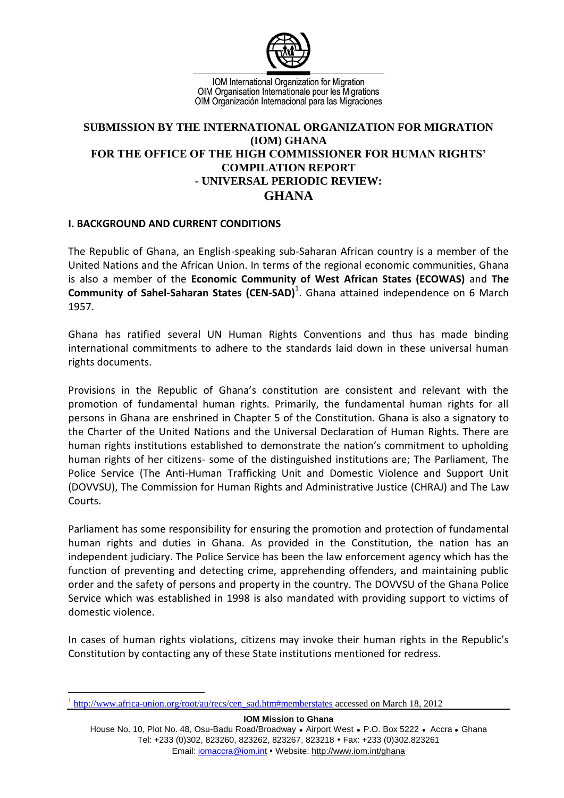

IOM International Organization for Migration OIM Organisation Internationale pour les Migrations OIM Organización Internacional para las Migraciones

## **SUBMISSION BY THE INTERNATIONAL ORGANIZATION FOR MIGRATION (IOM) GHANA FOR THE OFFICE OF THE HIGH COMMISSIONER FOR HUMAN RIGHTS' COMPILATION REPORT - UNIVERSAL PERIODIC REVIEW: GHANA**

## **I. BACKGROUND AND CURRENT CONDITIONS**

The Republic of Ghana, an English-speaking sub-Saharan African country is a member of the United Nations and the African Union. In terms of the regional economic communities, Ghana is also a member of the **Economic Community of West African States (ECOWAS)** and **The**  Community of Sahel-Saharan States (CEN-SAD)<sup>1</sup>. Ghana attained independence on 6 March 1957.

Ghana has ratified several UN Human Rights Conventions and thus has made binding international commitments to adhere to the standards laid down in these universal human rights documents.

Provisions in the Republic of Ghana's constitution are consistent and relevant with the promotion of fundamental human rights. Primarily, the fundamental human rights for all persons in Ghana are enshrined in Chapter 5 of the Constitution. Ghana is also a signatory to the Charter of the United Nations and the Universal Declaration of Human Rights. There are human rights institutions established to demonstrate the nation's commitment to upholding human rights of her citizens- some of the distinguished institutions are; The Parliament, The Police Service (The Anti-Human Trafficking Unit and Domestic Violence and Support Unit (DOVVSU), The Commission for Human Rights and Administrative Justice (CHRAJ) and The Law Courts.

Parliament has some responsibility for ensuring the promotion and protection of fundamental human rights and duties in Ghana. As provided in the Constitution, the nation has an independent judiciary. The Police Service has been the law enforcement agency which has the function of preventing and detecting crime, apprehending offenders, and maintaining public order and the safety of persons and property in the country. The DOVVSU of the Ghana Police Service which was established in 1998 is also mandated with providing support to victims of domestic violence.

In cases of human rights violations, citizens may invoke their human rights in the Republic's Constitution by contacting any of these State institutions mentioned for redress.

**IOM Mission to Ghana** House No. 10, Plot No. 48, Osu-Badu Road/Broadway . Airport West . P.O. Box 5222 . Accra . Ghana Tel: +233 (0)302, 823260, 823262, 823267, 823218 • Fax: +233 (0)302.823261 Email: iomaccra@iom.int • Website: http://www.iom.int/ghana

<sup>&</sup>lt;u>.</u> 1 [http://www.africa-union.org/root/au/recs/cen\\_sad.htm#memberstates](http://www.africa-union.org/root/au/recs/cen_sad.htm#memberstates) accessed on March 18, 2012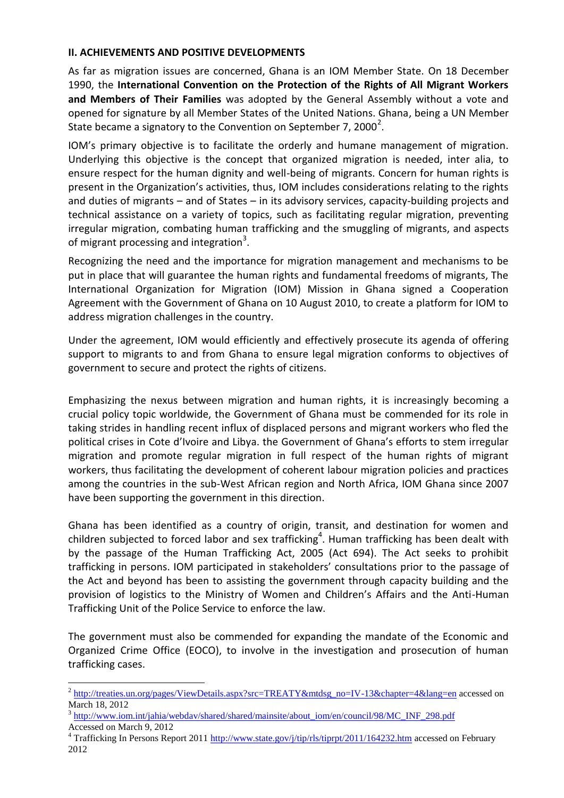## **II. ACHIEVEMENTS AND POSITIVE DEVELOPMENTS**

As far as migration issues are concerned, Ghana is an IOM Member State. On 18 December 1990, the **International Convention on the Protection of the Rights of All Migrant Workers and Members of Their Families** was adopted by the General Assembly without a vote and opened for signature by all Member States of the United Nations. Ghana, being a UN Member State became a signatory to the Convention on September 7, 2000<sup>2</sup>.

IOM's primary objective is to facilitate the orderly and humane management of migration. Underlying this objective is the concept that organized migration is needed, inter alia, to ensure respect for the human dignity and well-being of migrants. Concern for human rights is present in the Organization's activities, thus, IOM includes considerations relating to the rights and duties of migrants – and of States – in its advisory services, capacity-building projects and technical assistance on a variety of topics, such as facilitating regular migration, preventing irregular migration, combating human trafficking and the smuggling of migrants, and aspects of migrant processing and integration<sup>3</sup>.

Recognizing the need and the importance for migration management and mechanisms to be put in place that will guarantee the human rights and fundamental freedoms of migrants, The International Organization for Migration (IOM) Mission in Ghana signed a Cooperation Agreement with the Government of Ghana on 10 August 2010, to create a platform for IOM to address migration challenges in the country.

Under the agreement, IOM would efficiently and effectively prosecute its agenda of offering support to migrants to and from Ghana to ensure legal migration conforms to objectives of government to secure and protect the rights of citizens.

Emphasizing the nexus between migration and human rights, it is increasingly becoming a crucial policy topic worldwide, the Government of Ghana must be commended for its role in taking strides in handling recent influx of displaced persons and migrant workers who fled the political crises in Cote d'Ivoire and Libya. the Government of Ghana's efforts to stem irregular migration and promote regular migration in full respect of the human rights of migrant workers, thus facilitating the development of coherent labour migration policies and practices among the countries in the sub-West African region and North Africa, IOM Ghana since 2007 have been supporting the government in this direction.

Ghana has been identified as a country of origin, transit, and destination for women and children subjected to forced labor and sex trafficking<sup>4</sup>. Human trafficking has been dealt with by the passage of the Human Trafficking Act, 2005 (Act 694). The Act seeks to prohibit trafficking in persons. IOM participated in stakeholders' consultations prior to the passage of the Act and beyond has been to assisting the government through capacity building and the provision of logistics to the Ministry of Women and Children's Affairs and the Anti-Human Trafficking Unit of the Police Service to enforce the law.

The government must also be commended for expanding the mandate of the Economic and Organized Crime Office (EOCO), to involve in the investigation and prosecution of human trafficking cases.

<u>.</u>

<sup>&</sup>lt;sup>2</sup> [http://treaties.un.org/pages/ViewDetails.aspx?src=TREATY&mtdsg\\_no=IV-13&chapter=4&lang=en](http://treaties.un.org/pages/ViewDetails.aspx?src=TREATY&mtdsg_no=IV-13&chapter=4&lang=en) accessed on March 18, 2012

<sup>&</sup>lt;sup>3</sup> [http://www.iom.int/jahia/webdav/shared/shared/mainsite/about\\_iom/en/council/98/MC\\_INF\\_298.pdf](http://www.iom.int/jahia/webdav/shared/shared/mainsite/about_iom/en/council/98/MC_INF_298.pdf) Accessed on March 9, 2012

<sup>&</sup>lt;sup>4</sup> Trafficking In Persons Report 2011<http://www.state.gov/j/tip/rls/tiprpt/2011/164232.htm> accessed on February 2012